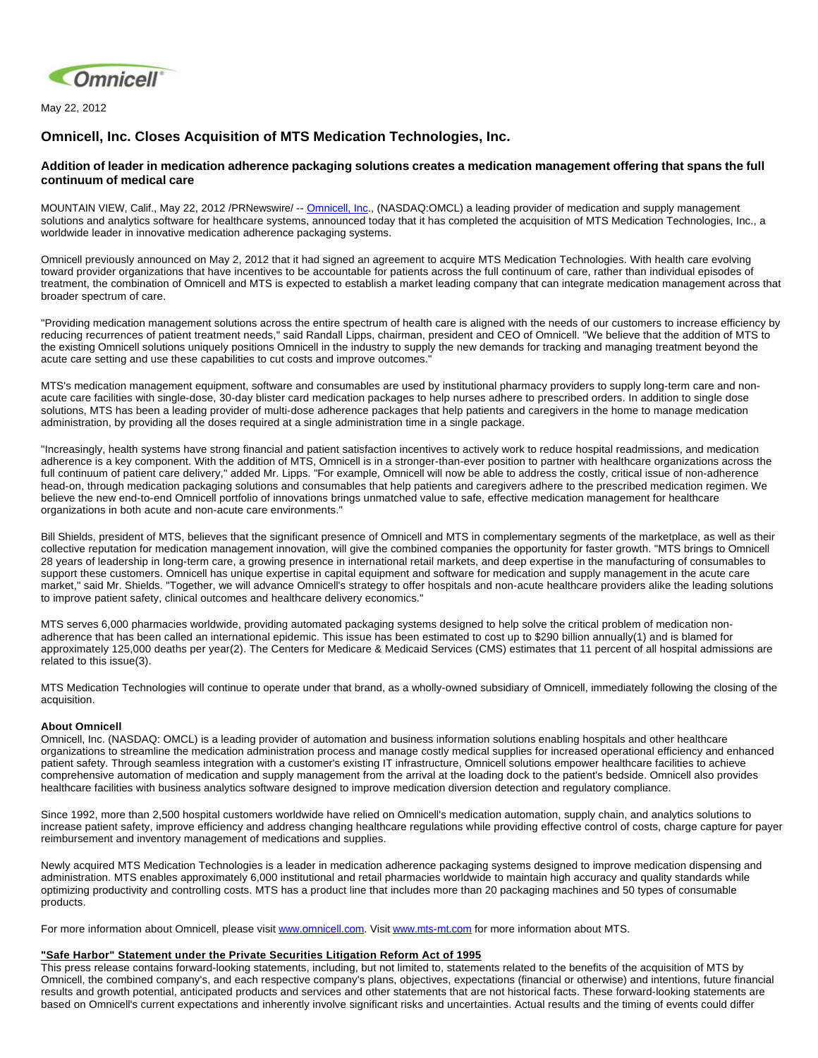

May 22, 2012

## **Omnicell, Inc. Closes Acquisition of MTS Medication Technologies, Inc.**

## **Addition of leader in medication adherence packaging solutions creates a medication management offering that spans the full continuum of medical care**

MOUNTAIN VIEW, Calif., May 22, 2012 /PRNewswire/ -- [Omnicell, Inc](http://www.omnicell.com/)., (NASDAQ:OMCL) a leading provider of medication and supply management solutions and analytics software for healthcare systems, announced today that it has completed the acquisition of MTS Medication Technologies, Inc., a worldwide leader in innovative medication adherence packaging systems.

Omnicell previously announced on May 2, 2012 that it had signed an agreement to acquire MTS Medication Technologies. With health care evolving toward provider organizations that have incentives to be accountable for patients across the full continuum of care, rather than individual episodes of treatment, the combination of Omnicell and MTS is expected to establish a market leading company that can integrate medication management across that broader spectrum of care.

"Providing medication management solutions across the entire spectrum of health care is aligned with the needs of our customers to increase efficiency by reducing recurrences of patient treatment needs," said Randall Lipps, chairman, president and CEO of Omnicell. "We believe that the addition of MTS to the existing Omnicell solutions uniquely positions Omnicell in the industry to supply the new demands for tracking and managing treatment beyond the acute care setting and use these capabilities to cut costs and improve outcomes."

MTS's medication management equipment, software and consumables are used by institutional pharmacy providers to supply long-term care and nonacute care facilities with single-dose, 30-day blister card medication packages to help nurses adhere to prescribed orders. In addition to single dose solutions, MTS has been a leading provider of multi-dose adherence packages that help patients and caregivers in the home to manage medication administration, by providing all the doses required at a single administration time in a single package.

"Increasingly, health systems have strong financial and patient satisfaction incentives to actively work to reduce hospital readmissions, and medication adherence is a key component. With the addition of MTS, Omnicell is in a stronger-than-ever position to partner with healthcare organizations across the full continuum of patient care delivery," added Mr. Lipps. "For example, Omnicell will now be able to address the costly, critical issue of non-adherence head-on, through medication packaging solutions and consumables that help patients and caregivers adhere to the prescribed medication regimen. We believe the new end-to-end Omnicell portfolio of innovations brings unmatched value to safe, effective medication management for healthcare organizations in both acute and non-acute care environments."

Bill Shields, president of MTS, believes that the significant presence of Omnicell and MTS in complementary segments of the marketplace, as well as their collective reputation for medication management innovation, will give the combined companies the opportunity for faster growth. "MTS brings to Omnicell 28 years of leadership in long-term care, a growing presence in international retail markets, and deep expertise in the manufacturing of consumables to support these customers. Omnicell has unique expertise in capital equipment and software for medication and supply management in the acute care market," said Mr. Shields. "Together, we will advance Omnicell's strategy to offer hospitals and non-acute healthcare providers alike the leading solutions to improve patient safety, clinical outcomes and healthcare delivery economics."

MTS serves 6,000 pharmacies worldwide, providing automated packaging systems designed to help solve the critical problem of medication nonadherence that has been called an international epidemic. This issue has been estimated to cost up to \$290 billion annually(1) and is blamed for approximately 125,000 deaths per year(2). The Centers for Medicare & Medicaid Services (CMS) estimates that 11 percent of all hospital admissions are related to this issue(3).

MTS Medication Technologies will continue to operate under that brand, as a wholly-owned subsidiary of Omnicell, immediately following the closing of the acquisition.

## **About Omnicell**

Omnicell, Inc. (NASDAQ: OMCL) is a leading provider of automation and business information solutions enabling hospitals and other healthcare organizations to streamline the medication administration process and manage costly medical supplies for increased operational efficiency and enhanced patient safety. Through seamless integration with a customer's existing IT infrastructure, Omnicell solutions empower healthcare facilities to achieve comprehensive automation of medication and supply management from the arrival at the loading dock to the patient's bedside. Omnicell also provides healthcare facilities with business analytics software designed to improve medication diversion detection and regulatory compliance.

Since 1992, more than 2,500 hospital customers worldwide have relied on Omnicell's medication automation, supply chain, and analytics solutions to increase patient safety, improve efficiency and address changing healthcare regulations while providing effective control of costs, charge capture for payer reimbursement and inventory management of medications and supplies.

Newly acquired MTS Medication Technologies is a leader in medication adherence packaging systems designed to improve medication dispensing and administration. MTS enables approximately 6,000 institutional and retail pharmacies worldwide to maintain high accuracy and quality standards while optimizing productivity and controlling costs. MTS has a product line that includes more than 20 packaging machines and 50 types of consumable products.

For more information about Omnicell, please visit [www.omnicell.com.](http://www.omnicell.com/) Visit [www.mts-mt.com](http://www.mts-mt.com/) for more information about MTS.

## **"Safe Harbor" Statement under the Private Securities Litigation Reform Act of 1995**

This press release contains forward-looking statements, including, but not limited to, statements related to the benefits of the acquisition of MTS by Omnicell, the combined company's, and each respective company's plans, objectives, expectations (financial or otherwise) and intentions, future financial results and growth potential, anticipated products and services and other statements that are not historical facts. These forward-looking statements are based on Omnicell's current expectations and inherently involve significant risks and uncertainties. Actual results and the timing of events could differ